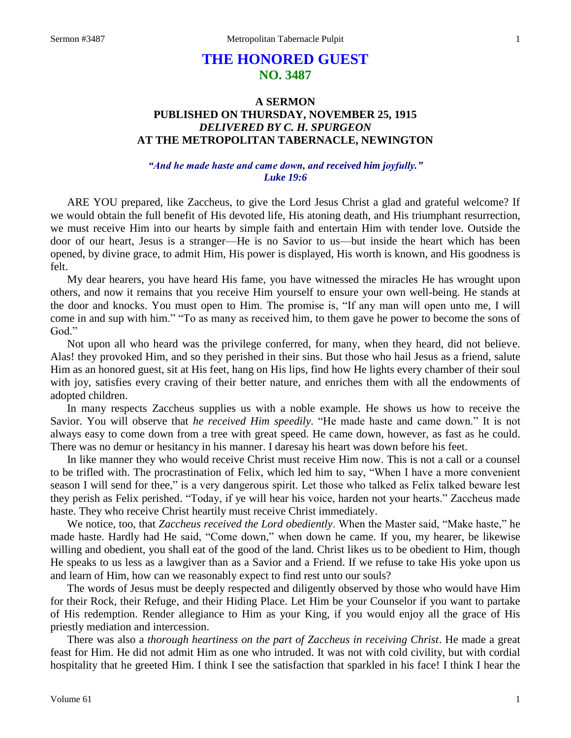# **THE HONORED GUEST NO. 3487**

# **A SERMON PUBLISHED ON THURSDAY, NOVEMBER 25, 1915** *DELIVERED BY C. H. SPURGEON* **AT THE METROPOLITAN TABERNACLE, NEWINGTON**

# *"And he made haste and came down, and received him joyfully." Luke 19:6*

ARE YOU prepared, like Zaccheus, to give the Lord Jesus Christ a glad and grateful welcome? If we would obtain the full benefit of His devoted life, His atoning death, and His triumphant resurrection, we must receive Him into our hearts by simple faith and entertain Him with tender love. Outside the door of our heart, Jesus is a stranger—He is no Savior to us—but inside the heart which has been opened, by divine grace, to admit Him, His power is displayed, His worth is known, and His goodness is felt.

My dear hearers, you have heard His fame, you have witnessed the miracles He has wrought upon others, and now it remains that you receive Him yourself to ensure your own well-being. He stands at the door and knocks. You must open to Him. The promise is, "If any man will open unto me, I will come in and sup with him." "To as many as received him, to them gave he power to become the sons of God."

Not upon all who heard was the privilege conferred, for many, when they heard, did not believe. Alas! they provoked Him, and so they perished in their sins. But those who hail Jesus as a friend, salute Him as an honored guest, sit at His feet, hang on His lips, find how He lights every chamber of their soul with joy, satisfies every craving of their better nature, and enriches them with all the endowments of adopted children.

In many respects Zaccheus supplies us with a noble example. He shows us how to receive the Savior. You will observe that *he received Him speedily*. "He made haste and came down." It is not always easy to come down from a tree with great speed. He came down, however, as fast as he could. There was no demur or hesitancy in his manner. I daresay his heart was down before his feet.

In like manner they who would receive Christ must receive Him now. This is not a call or a counsel to be trifled with. The procrastination of Felix, which led him to say, "When I have a more convenient season I will send for thee," is a very dangerous spirit. Let those who talked as Felix talked beware lest they perish as Felix perished. "Today, if ye will hear his voice, harden not your hearts." Zaccheus made haste. They who receive Christ heartily must receive Christ immediately.

We notice, too, that *Zaccheus received the Lord obediently*. When the Master said, "Make haste," he made haste. Hardly had He said, "Come down," when down he came. If you, my hearer, be likewise willing and obedient, you shall eat of the good of the land. Christ likes us to be obedient to Him, though He speaks to us less as a lawgiver than as a Savior and a Friend. If we refuse to take His yoke upon us and learn of Him, how can we reasonably expect to find rest unto our souls?

The words of Jesus must be deeply respected and diligently observed by those who would have Him for their Rock, their Refuge, and their Hiding Place. Let Him be your Counselor if you want to partake of His redemption. Render allegiance to Him as your King, if you would enjoy all the grace of His priestly mediation and intercession.

There was also a *thorough heartiness on the part of Zaccheus in receiving Christ*. He made a great feast for Him. He did not admit Him as one who intruded. It was not with cold civility, but with cordial hospitality that he greeted Him. I think I see the satisfaction that sparkled in his face! I think I hear the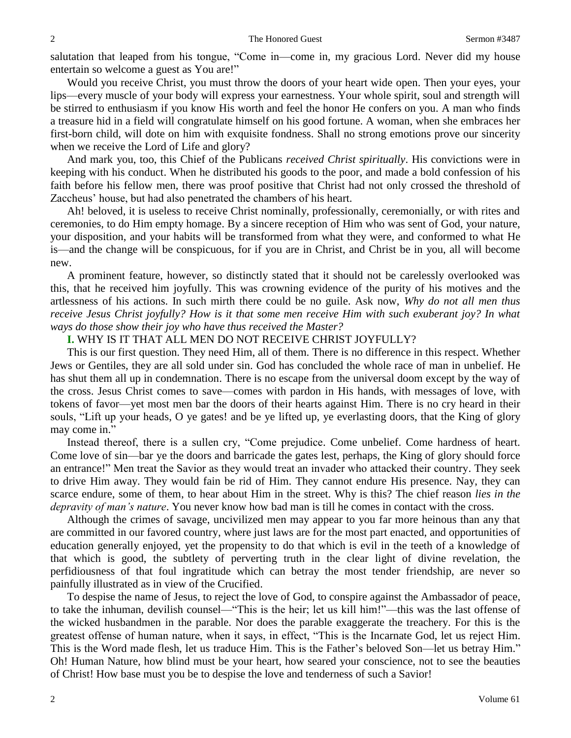salutation that leaped from his tongue, "Come in—come in, my gracious Lord. Never did my house entertain so welcome a guest as You are!"

Would you receive Christ, you must throw the doors of your heart wide open. Then your eyes, your lips—every muscle of your body will express your earnestness. Your whole spirit, soul and strength will be stirred to enthusiasm if you know His worth and feel the honor He confers on you. A man who finds a treasure hid in a field will congratulate himself on his good fortune. A woman, when she embraces her first-born child, will dote on him with exquisite fondness. Shall no strong emotions prove our sincerity when we receive the Lord of Life and glory?

And mark you, too, this Chief of the Publicans *received Christ spiritually*. His convictions were in keeping with his conduct. When he distributed his goods to the poor, and made a bold confession of his faith before his fellow men, there was proof positive that Christ had not only crossed the threshold of Zaccheus' house, but had also penetrated the chambers of his heart.

Ah! beloved, it is useless to receive Christ nominally, professionally, ceremonially, or with rites and ceremonies, to do Him empty homage. By a sincere reception of Him who was sent of God, your nature, your disposition, and your habits will be transformed from what they were, and conformed to what He is—and the change will be conspicuous, for if you are in Christ, and Christ be in you, all will become new.

A prominent feature, however, so distinctly stated that it should not be carelessly overlooked was this, that he received him joyfully. This was crowning evidence of the purity of his motives and the artlessness of his actions. In such mirth there could be no guile. Ask now, *Why do not all men thus receive Jesus Christ joyfully? How is it that some men receive Him with such exuberant joy? In what ways do those show their joy who have thus received the Master?*

### **I.** WHY IS IT THAT ALL MEN DO NOT RECEIVE CHRIST JOYFULLY?

This is our first question. They need Him, all of them. There is no difference in this respect. Whether Jews or Gentiles, they are all sold under sin. God has concluded the whole race of man in unbelief. He has shut them all up in condemnation. There is no escape from the universal doom except by the way of the cross. Jesus Christ comes to save—comes with pardon in His hands, with messages of love, with tokens of favor—yet most men bar the doors of their hearts against Him. There is no cry heard in their souls, "Lift up your heads, O ye gates! and be ye lifted up, ye everlasting doors, that the King of glory may come in."

Instead thereof, there is a sullen cry, "Come prejudice. Come unbelief. Come hardness of heart. Come love of sin—bar ye the doors and barricade the gates lest, perhaps, the King of glory should force an entrance!" Men treat the Savior as they would treat an invader who attacked their country. They seek to drive Him away. They would fain be rid of Him. They cannot endure His presence. Nay, they can scarce endure, some of them, to hear about Him in the street. Why is this? The chief reason *lies in the depravity of man's nature*. You never know how bad man is till he comes in contact with the cross.

Although the crimes of savage, uncivilized men may appear to you far more heinous than any that are committed in our favored country, where just laws are for the most part enacted, and opportunities of education generally enjoyed, yet the propensity to do that which is evil in the teeth of a knowledge of that which is good, the subtlety of perverting truth in the clear light of divine revelation, the perfidiousness of that foul ingratitude which can betray the most tender friendship, are never so painfully illustrated as in view of the Crucified.

To despise the name of Jesus, to reject the love of God, to conspire against the Ambassador of peace, to take the inhuman, devilish counsel—"This is the heir; let us kill him!"—this was the last offense of the wicked husbandmen in the parable. Nor does the parable exaggerate the treachery. For this is the greatest offense of human nature, when it says, in effect, "This is the Incarnate God, let us reject Him. This is the Word made flesh, let us traduce Him. This is the Father's beloved Son—let us betray Him." Oh! Human Nature, how blind must be your heart, how seared your conscience, not to see the beauties of Christ! How base must you be to despise the love and tenderness of such a Savior!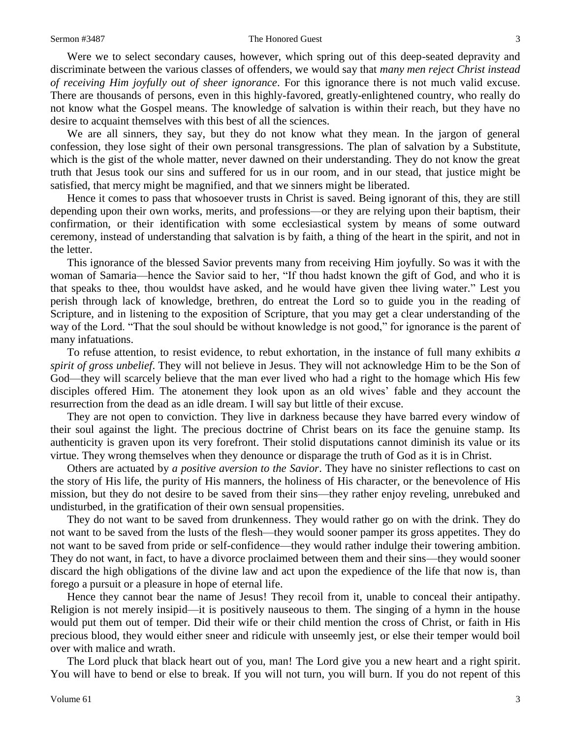#### Sermon #3487 The Honored Guest 3

Were we to select secondary causes, however, which spring out of this deep-seated depravity and discriminate between the various classes of offenders, we would say that *many men reject Christ instead of receiving Him joyfully out of sheer ignorance*. For this ignorance there is not much valid excuse. There are thousands of persons, even in this highly-favored, greatly-enlightened country, who really do not know what the Gospel means. The knowledge of salvation is within their reach, but they have no desire to acquaint themselves with this best of all the sciences.

We are all sinners, they say, but they do not know what they mean. In the jargon of general confession, they lose sight of their own personal transgressions. The plan of salvation by a Substitute, which is the gist of the whole matter, never dawned on their understanding. They do not know the great truth that Jesus took our sins and suffered for us in our room, and in our stead, that justice might be satisfied, that mercy might be magnified, and that we sinners might be liberated.

Hence it comes to pass that whosoever trusts in Christ is saved. Being ignorant of this, they are still depending upon their own works, merits, and professions—or they are relying upon their baptism, their confirmation, or their identification with some ecclesiastical system by means of some outward ceremony, instead of understanding that salvation is by faith, a thing of the heart in the spirit, and not in the letter.

This ignorance of the blessed Savior prevents many from receiving Him joyfully. So was it with the woman of Samaria—hence the Savior said to her, "If thou hadst known the gift of God, and who it is that speaks to thee, thou wouldst have asked, and he would have given thee living water." Lest you perish through lack of knowledge, brethren, do entreat the Lord so to guide you in the reading of Scripture, and in listening to the exposition of Scripture, that you may get a clear understanding of the way of the Lord. "That the soul should be without knowledge is not good," for ignorance is the parent of many infatuations.

To refuse attention, to resist evidence, to rebut exhortation, in the instance of full many exhibits *a spirit of gross unbelief*. They will not believe in Jesus. They will not acknowledge Him to be the Son of God—they will scarcely believe that the man ever lived who had a right to the homage which His few disciples offered Him. The atonement they look upon as an old wives' fable and they account the resurrection from the dead as an idle dream. I will say but little of their excuse.

They are not open to conviction. They live in darkness because they have barred every window of their soul against the light. The precious doctrine of Christ bears on its face the genuine stamp. Its authenticity is graven upon its very forefront. Their stolid disputations cannot diminish its value or its virtue. They wrong themselves when they denounce or disparage the truth of God as it is in Christ.

Others are actuated by *a positive aversion to the Savior*. They have no sinister reflections to cast on the story of His life, the purity of His manners, the holiness of His character, or the benevolence of His mission, but they do not desire to be saved from their sins—they rather enjoy reveling, unrebuked and undisturbed, in the gratification of their own sensual propensities.

They do not want to be saved from drunkenness. They would rather go on with the drink. They do not want to be saved from the lusts of the flesh—they would sooner pamper its gross appetites. They do not want to be saved from pride or self-confidence—they would rather indulge their towering ambition. They do not want, in fact, to have a divorce proclaimed between them and their sins—they would sooner discard the high obligations of the divine law and act upon the expedience of the life that now is, than forego a pursuit or a pleasure in hope of eternal life.

Hence they cannot bear the name of Jesus! They recoil from it, unable to conceal their antipathy. Religion is not merely insipid—it is positively nauseous to them. The singing of a hymn in the house would put them out of temper. Did their wife or their child mention the cross of Christ, or faith in His precious blood, they would either sneer and ridicule with unseemly jest, or else their temper would boil over with malice and wrath.

The Lord pluck that black heart out of you, man! The Lord give you a new heart and a right spirit. You will have to bend or else to break. If you will not turn, you will burn. If you do not repent of this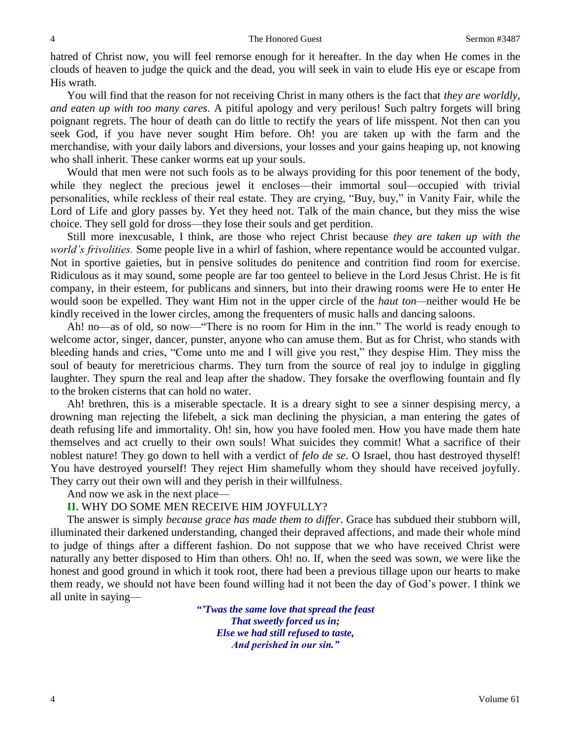hatred of Christ now, you will feel remorse enough for it hereafter. In the day when He comes in the clouds of heaven to judge the quick and the dead, you will seek in vain to elude His eye or escape from His wrath.

You will find that the reason for not receiving Christ in many others is the fact that *they are worldly, and eaten up with too many cares*. A pitiful apology and very perilous! Such paltry forgets will bring poignant regrets. The hour of death can do little to rectify the years of life misspent. Not then can you seek God, if you have never sought Him before. Oh! you are taken up with the farm and the merchandise, with your daily labors and diversions, your losses and your gains heaping up, not knowing who shall inherit. These canker worms eat up your souls.

Would that men were not such fools as to be always providing for this poor tenement of the body, while they neglect the precious jewel it encloses—their immortal soul—occupied with trivial personalities, while reckless of their real estate. They are crying, "Buy, buy," in Vanity Fair, while the Lord of Life and glory passes by. Yet they heed not. Talk of the main chance, but they miss the wise choice. They sell gold for dross—they lose their souls and get perdition.

Still more inexcusable, I think, are those who reject Christ because *they are taken up with the world's frivolities.* Some people live in a whirl of fashion, where repentance would be accounted vulgar. Not in sportive gaieties, but in pensive solitudes do penitence and contrition find room for exercise. Ridiculous as it may sound, some people are far too genteel to believe in the Lord Jesus Christ. He is fit company, in their esteem, for publicans and sinners, but into their drawing rooms were He to enter He would soon be expelled. They want Him not in the upper circle of the *haut ton—*neither would He be kindly received in the lower circles, among the frequenters of music halls and dancing saloons.

Ah! no—as of old, so now—"There is no room for Him in the inn." The world is ready enough to welcome actor, singer, dancer, punster, anyone who can amuse them. But as for Christ, who stands with bleeding hands and cries, "Come unto me and I will give you rest," they despise Him. They miss the soul of beauty for meretricious charms. They turn from the source of real joy to indulge in giggling laughter. They spurn the real and leap after the shadow. They forsake the overflowing fountain and fly to the broken cisterns that can hold no water.

Ah! brethren, this is a miserable spectacle. It is a dreary sight to see a sinner despising mercy, a drowning man rejecting the lifebelt, a sick man declining the physician, a man entering the gates of death refusing life and immortality. Oh! sin, how you have fooled men. How you have made them hate themselves and act cruelly to their own souls! What suicides they commit! What a sacrifice of their noblest nature! They go down to hell with a verdict of *felo de se*. O Israel, thou hast destroyed thyself! You have destroyed yourself! They reject Him shamefully whom they should have received joyfully. They carry out their own will and they perish in their willfulness.

And now we ask in the next place—

### **II.** WHY DO SOME MEN RECEIVE HIM JOYFULLY?

The answer is simply *because grace has made them to differ*. Grace has subdued their stubborn will, illuminated their darkened understanding, changed their depraved affections, and made their whole mind to judge of things after a different fashion. Do not suppose that we who have received Christ were naturally any better disposed to Him than others. Oh! no. If, when the seed was sown, we were like the honest and good ground in which it took root, there had been a previous tillage upon our hearts to make them ready, we should not have been found willing had it not been the day of God's power. I think we all unite in saying—

> *"'Twas the same love that spread the feast That sweetly forced us in;*

> > *Else we had still refused to taste, And perished in our sin."*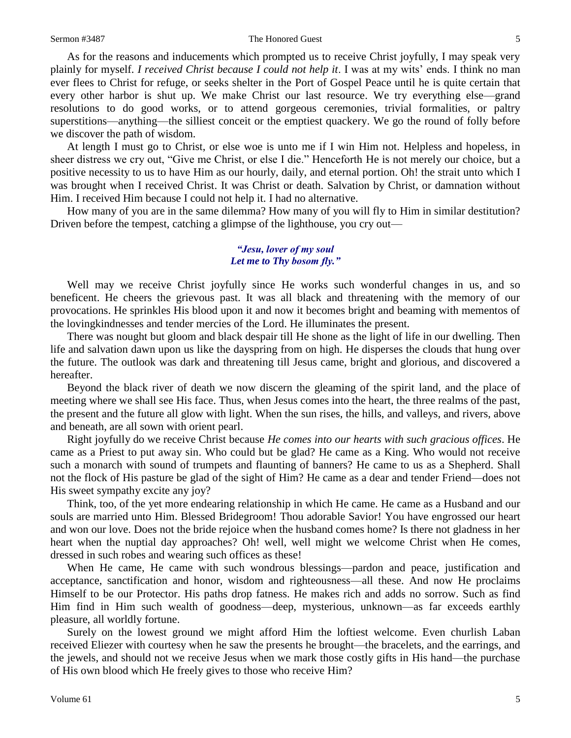#### Sermon #3487 The Honored Guest 5

As for the reasons and inducements which prompted us to receive Christ joyfully, I may speak very plainly for myself. *I received Christ because I could not help it*. I was at my wits' ends. I think no man ever flees to Christ for refuge, or seeks shelter in the Port of Gospel Peace until he is quite certain that every other harbor is shut up. We make Christ our last resource. We try everything else—grand resolutions to do good works, or to attend gorgeous ceremonies, trivial formalities, or paltry superstitions—anything—the silliest conceit or the emptiest quackery. We go the round of folly before we discover the path of wisdom.

At length I must go to Christ, or else woe is unto me if I win Him not. Helpless and hopeless, in sheer distress we cry out, "Give me Christ, or else I die." Henceforth He is not merely our choice, but a positive necessity to us to have Him as our hourly, daily, and eternal portion. Oh! the strait unto which I was brought when I received Christ. It was Christ or death. Salvation by Christ, or damnation without Him. I received Him because I could not help it. I had no alternative.

How many of you are in the same dilemma? How many of you will fly to Him in similar destitution? Driven before the tempest, catching a glimpse of the lighthouse, you cry out—

### *"Jesu, lover of my soul Let me to Thy bosom fly."*

Well may we receive Christ joyfully since He works such wonderful changes in us, and so beneficent. He cheers the grievous past. It was all black and threatening with the memory of our provocations. He sprinkles His blood upon it and now it becomes bright and beaming with mementos of the lovingkindnesses and tender mercies of the Lord. He illuminates the present.

There was nought but gloom and black despair till He shone as the light of life in our dwelling. Then life and salvation dawn upon us like the dayspring from on high. He disperses the clouds that hung over the future. The outlook was dark and threatening till Jesus came, bright and glorious, and discovered a hereafter.

Beyond the black river of death we now discern the gleaming of the spirit land, and the place of meeting where we shall see His face. Thus, when Jesus comes into the heart, the three realms of the past, the present and the future all glow with light. When the sun rises, the hills, and valleys, and rivers, above and beneath, are all sown with orient pearl.

Right joyfully do we receive Christ because *He comes into our hearts with such gracious offices*. He came as a Priest to put away sin. Who could but be glad? He came as a King. Who would not receive such a monarch with sound of trumpets and flaunting of banners? He came to us as a Shepherd. Shall not the flock of His pasture be glad of the sight of Him? He came as a dear and tender Friend—does not His sweet sympathy excite any joy?

Think, too, of the yet more endearing relationship in which He came. He came as a Husband and our souls are married unto Him. Blessed Bridegroom! Thou adorable Savior! You have engrossed our heart and won our love. Does not the bride rejoice when the husband comes home? Is there not gladness in her heart when the nuptial day approaches? Oh! well, well might we welcome Christ when He comes, dressed in such robes and wearing such offices as these!

When He came, He came with such wondrous blessings—pardon and peace, justification and acceptance, sanctification and honor, wisdom and righteousness—all these. And now He proclaims Himself to be our Protector. His paths drop fatness. He makes rich and adds no sorrow. Such as find Him find in Him such wealth of goodness—deep, mysterious, unknown—as far exceeds earthly pleasure, all worldly fortune.

Surely on the lowest ground we might afford Him the loftiest welcome. Even churlish Laban received Eliezer with courtesy when he saw the presents he brought—the bracelets, and the earrings, and the jewels, and should not we receive Jesus when we mark those costly gifts in His hand—the purchase of His own blood which He freely gives to those who receive Him?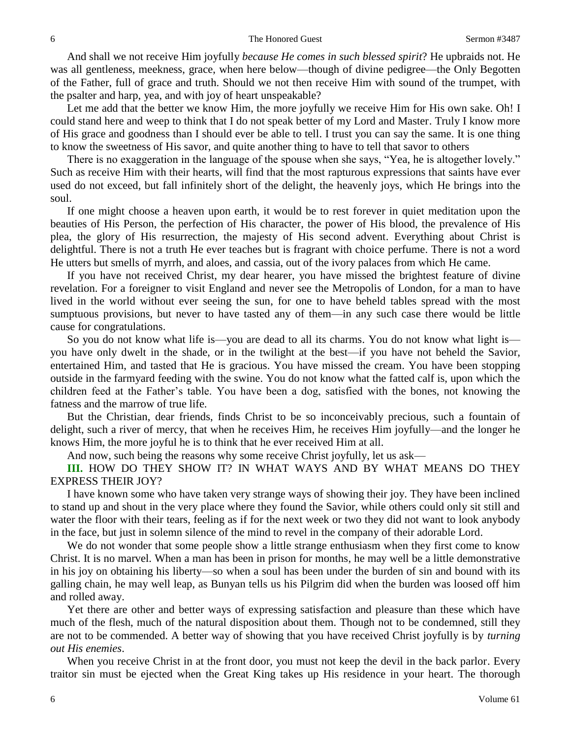And shall we not receive Him joyfully *because He comes in such blessed spirit*? He upbraids not. He was all gentleness, meekness, grace, when here below—though of divine pedigree—the Only Begotten of the Father, full of grace and truth. Should we not then receive Him with sound of the trumpet, with the psalter and harp, yea, and with joy of heart unspeakable?

Let me add that the better we know Him, the more joyfully we receive Him for His own sake. Oh! I could stand here and weep to think that I do not speak better of my Lord and Master. Truly I know more of His grace and goodness than I should ever be able to tell. I trust you can say the same. It is one thing to know the sweetness of His savor, and quite another thing to have to tell that savor to others

There is no exaggeration in the language of the spouse when she says, "Yea, he is altogether lovely." Such as receive Him with their hearts, will find that the most rapturous expressions that saints have ever used do not exceed, but fall infinitely short of the delight, the heavenly joys, which He brings into the soul.

If one might choose a heaven upon earth, it would be to rest forever in quiet meditation upon the beauties of His Person, the perfection of His character, the power of His blood, the prevalence of His plea, the glory of His resurrection, the majesty of His second advent. Everything about Christ is delightful. There is not a truth He ever teaches but is fragrant with choice perfume. There is not a word He utters but smells of myrrh, and aloes, and cassia, out of the ivory palaces from which He came.

If you have not received Christ, my dear hearer, you have missed the brightest feature of divine revelation. For a foreigner to visit England and never see the Metropolis of London, for a man to have lived in the world without ever seeing the sun, for one to have beheld tables spread with the most sumptuous provisions, but never to have tasted any of them—in any such case there would be little cause for congratulations.

So you do not know what life is—you are dead to all its charms. You do not know what light is you have only dwelt in the shade, or in the twilight at the best—if you have not beheld the Savior, entertained Him, and tasted that He is gracious. You have missed the cream. You have been stopping outside in the farmyard feeding with the swine. You do not know what the fatted calf is, upon which the children feed at the Father's table. You have been a dog, satisfied with the bones, not knowing the fatness and the marrow of true life.

But the Christian, dear friends, finds Christ to be so inconceivably precious, such a fountain of delight, such a river of mercy, that when he receives Him, he receives Him joyfully—and the longer he knows Him, the more joyful he is to think that he ever received Him at all.

And now, such being the reasons why some receive Christ joyfully, let us ask—

**III.** HOW DO THEY SHOW IT? IN WHAT WAYS AND BY WHAT MEANS DO THEY EXPRESS THEIR JOY?

I have known some who have taken very strange ways of showing their joy. They have been inclined to stand up and shout in the very place where they found the Savior, while others could only sit still and water the floor with their tears, feeling as if for the next week or two they did not want to look anybody in the face, but just in solemn silence of the mind to revel in the company of their adorable Lord.

We do not wonder that some people show a little strange enthusiasm when they first come to know Christ. It is no marvel. When a man has been in prison for months, he may well be a little demonstrative in his joy on obtaining his liberty—so when a soul has been under the burden of sin and bound with its galling chain, he may well leap, as Bunyan tells us his Pilgrim did when the burden was loosed off him and rolled away.

Yet there are other and better ways of expressing satisfaction and pleasure than these which have much of the flesh, much of the natural disposition about them. Though not to be condemned, still they are not to be commended. A better way of showing that you have received Christ joyfully is by *turning out His enemies*.

When you receive Christ in at the front door, you must not keep the devil in the back parlor. Every traitor sin must be ejected when the Great King takes up His residence in your heart. The thorough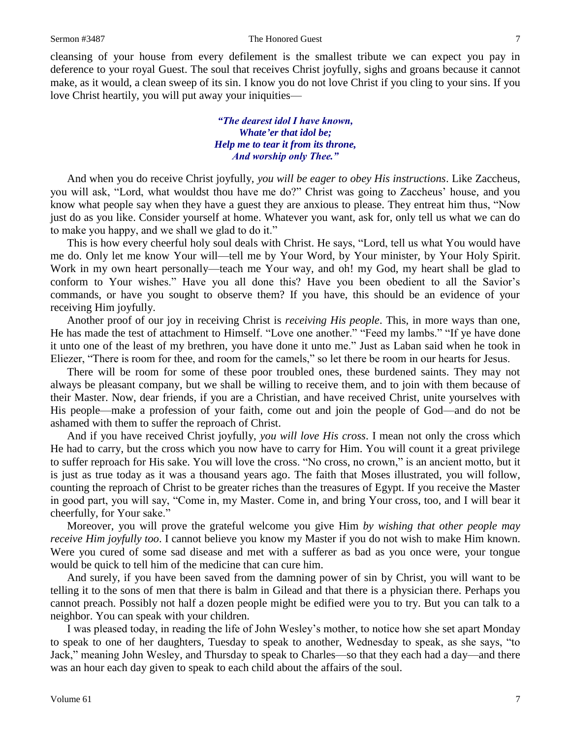cleansing of your house from every defilement is the smallest tribute we can expect you pay in deference to your royal Guest. The soul that receives Christ joyfully, sighs and groans because it cannot make, as it would, a clean sweep of its sin. I know you do not love Christ if you cling to your sins. If you love Christ heartily, you will put away your iniquities—

> *"The dearest idol I have known, Whate'er that idol be; Help me to tear it from its throne, And worship only Thee."*

And when you do receive Christ joyfully, *you will be eager to obey His instructions*. Like Zaccheus, you will ask, "Lord, what wouldst thou have me do?" Christ was going to Zaccheus' house, and you know what people say when they have a guest they are anxious to please. They entreat him thus, "Now just do as you like. Consider yourself at home. Whatever you want, ask for, only tell us what we can do to make you happy, and we shall we glad to do it."

This is how every cheerful holy soul deals with Christ. He says, "Lord, tell us what You would have me do. Only let me know Your will—tell me by Your Word, by Your minister, by Your Holy Spirit. Work in my own heart personally—teach me Your way, and oh! my God, my heart shall be glad to conform to Your wishes." Have you all done this? Have you been obedient to all the Savior's commands, or have you sought to observe them? If you have, this should be an evidence of your receiving Him joyfully.

Another proof of our joy in receiving Christ is *receiving His people*. This, in more ways than one, He has made the test of attachment to Himself. "Love one another." "Feed my lambs." "If ye have done it unto one of the least of my brethren, you have done it unto me." Just as Laban said when he took in Eliezer, "There is room for thee, and room for the camels," so let there be room in our hearts for Jesus.

There will be room for some of these poor troubled ones, these burdened saints. They may not always be pleasant company, but we shall be willing to receive them, and to join with them because of their Master. Now, dear friends, if you are a Christian, and have received Christ, unite yourselves with His people—make a profession of your faith, come out and join the people of God—and do not be ashamed with them to suffer the reproach of Christ.

And if you have received Christ joyfully, *you will love His cross*. I mean not only the cross which He had to carry, but the cross which you now have to carry for Him. You will count it a great privilege to suffer reproach for His sake. You will love the cross. "No cross, no crown," is an ancient motto, but it is just as true today as it was a thousand years ago. The faith that Moses illustrated, you will follow, counting the reproach of Christ to be greater riches than the treasures of Egypt. If you receive the Master in good part, you will say, "Come in, my Master. Come in, and bring Your cross, too, and I will bear it cheerfully, for Your sake."

Moreover, you will prove the grateful welcome you give Him *by wishing that other people may receive Him joyfully too*. I cannot believe you know my Master if you do not wish to make Him known. Were you cured of some sad disease and met with a sufferer as bad as you once were, your tongue would be quick to tell him of the medicine that can cure him.

And surely, if you have been saved from the damning power of sin by Christ, you will want to be telling it to the sons of men that there is balm in Gilead and that there is a physician there. Perhaps you cannot preach. Possibly not half a dozen people might be edified were you to try. But you can talk to a neighbor. You can speak with your children.

I was pleased today, in reading the life of John Wesley's mother, to notice how she set apart Monday to speak to one of her daughters, Tuesday to speak to another, Wednesday to speak, as she says, "to Jack," meaning John Wesley, and Thursday to speak to Charles—so that they each had a day—and there was an hour each day given to speak to each child about the affairs of the soul.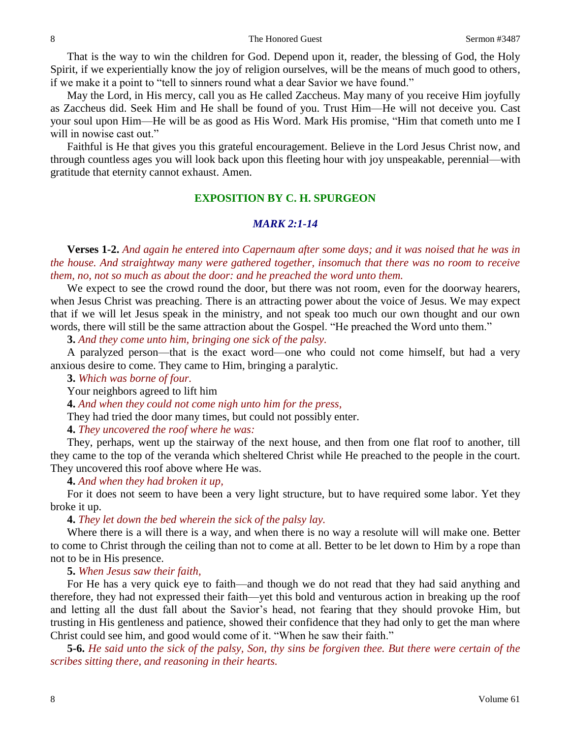That is the way to win the children for God. Depend upon it, reader, the blessing of God, the Holy Spirit, if we experientially know the joy of religion ourselves, will be the means of much good to others, if we make it a point to "tell to sinners round what a dear Savior we have found."

May the Lord, in His mercy, call you as He called Zaccheus. May many of you receive Him joyfully as Zaccheus did. Seek Him and He shall be found of you. Trust Him—He will not deceive you. Cast your soul upon Him—He will be as good as His Word. Mark His promise, "Him that cometh unto me I will in nowise cast out."

Faithful is He that gives you this grateful encouragement. Believe in the Lord Jesus Christ now, and through countless ages you will look back upon this fleeting hour with joy unspeakable, perennial—with gratitude that eternity cannot exhaust. Amen.

### **EXPOSITION BY C. H. SPURGEON**

### *MARK 2:1-14*

**Verses 1-2.** *And again he entered into Capernaum after some days; and it was noised that he was in the house. And straightway many were gathered together, insomuch that there was no room to receive them, no, not so much as about the door: and he preached the word unto them.*

We expect to see the crowd round the door, but there was not room, even for the doorway hearers, when Jesus Christ was preaching. There is an attracting power about the voice of Jesus. We may expect that if we will let Jesus speak in the ministry, and not speak too much our own thought and our own words, there will still be the same attraction about the Gospel. "He preached the Word unto them."

**3.** *And they come unto him, bringing one sick of the palsy.*

A paralyzed person—that is the exact word—one who could not come himself, but had a very anxious desire to come. They came to Him, bringing a paralytic.

**3.** *Which was borne of four.* 

Your neighbors agreed to lift him

**4.** *And when they could not come nigh unto him for the press,*

They had tried the door many times, but could not possibly enter.

**4.** *They uncovered the roof where he was:*

They, perhaps, went up the stairway of the next house, and then from one flat roof to another, till they came to the top of the veranda which sheltered Christ while He preached to the people in the court. They uncovered this roof above where He was.

**4.** *And when they had broken it up,*

For it does not seem to have been a very light structure, but to have required some labor. Yet they broke it up.

**4.** *They let down the bed wherein the sick of the palsy lay.* 

Where there is a will there is a way, and when there is no way a resolute will will make one. Better to come to Christ through the ceiling than not to come at all. Better to be let down to Him by a rope than not to be in His presence.

**5.** *When Jesus saw their faith,*

For He has a very quick eye to faith—and though we do not read that they had said anything and therefore, they had not expressed their faith—yet this bold and venturous action in breaking up the roof and letting all the dust fall about the Savior's head, not fearing that they should provoke Him, but trusting in His gentleness and patience, showed their confidence that they had only to get the man where Christ could see him, and good would come of it. "When he saw their faith."

**5-6.** *He said unto the sick of the palsy, Son, thy sins be forgiven thee. But there were certain of the scribes sitting there, and reasoning in their hearts.*